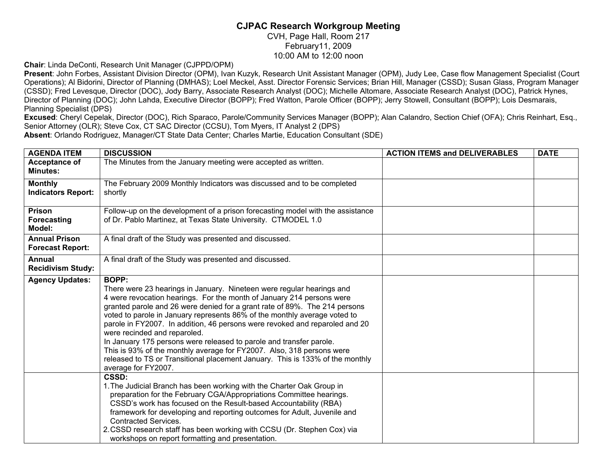## **CJPAC Research Workgroup Meeting**  CVH, Page Hall, Room 217 February11, 2009 10:00 AM to 12:00 noon

**Chair**: Linda DeConti, Research Unit Manager (CJPPD/OPM)

**Present**: John Forbes, Assistant Division Director (OPM), Ivan Kuzyk, Research Unit Assistant Manager (OPM), Judy Lee, Case flow Management Specialist (Court Operations); Al Bidorini, Director of Planning (DMHAS); Loel Meckel, Asst. Director Forensic Services; Brian Hill, Manager (CSSD); Susan Glass, Program Manager (CSSD); Fred Levesque, Director (DOC), Jody Barry, Associate Research Analyst (DOC); Michelle Altomare, Associate Research Analyst (DOC), Patrick Hynes, Director of Planning (DOC); John Lahda, Executive Director (BOPP); Fred Watton, Parole Officer (BOPP); Jerry Stowell, Consultant (BOPP); Lois Desmarais, Planning Specialist (DPS)

**Excused**: Cheryl Cepelak, Director (DOC), Rich Sparaco, Parole/Community Services Manager (BOPP); Alan Calandro, Section Chief (OFA); Chris Reinhart, Esq., Senior Attorney (OLR); Steve Cox, CT SAC Director (CCSU), Tom Myers, IT Analyst 2 (DPS) **Absent**: Orlando Rodriguez, Manager/CT State Data Center; Charles Martie, Education Consultant (SDE)

| <b>AGENDA ITEM</b>                              | <b>DISCUSSION</b>                                                                                                                                                                                                                                                                                                                                                                                                                                                                                                                                                                                                                                                                                | <b>ACTION ITEMS and DELIVERABLES</b> | <b>DATE</b> |
|-------------------------------------------------|--------------------------------------------------------------------------------------------------------------------------------------------------------------------------------------------------------------------------------------------------------------------------------------------------------------------------------------------------------------------------------------------------------------------------------------------------------------------------------------------------------------------------------------------------------------------------------------------------------------------------------------------------------------------------------------------------|--------------------------------------|-------------|
| Acceptance of<br><b>Minutes:</b>                | The Minutes from the January meeting were accepted as written.                                                                                                                                                                                                                                                                                                                                                                                                                                                                                                                                                                                                                                   |                                      |             |
| <b>Monthly</b><br><b>Indicators Report:</b>     | The February 2009 Monthly Indicators was discussed and to be completed<br>shortly                                                                                                                                                                                                                                                                                                                                                                                                                                                                                                                                                                                                                |                                      |             |
| Prison<br>Forecasting<br>Model:                 | Follow-up on the development of a prison forecasting model with the assistance<br>of Dr. Pablo Martinez, at Texas State University. CTMODEL 1.0                                                                                                                                                                                                                                                                                                                                                                                                                                                                                                                                                  |                                      |             |
| <b>Annual Prison</b><br><b>Forecast Report:</b> | A final draft of the Study was presented and discussed.                                                                                                                                                                                                                                                                                                                                                                                                                                                                                                                                                                                                                                          |                                      |             |
| Annual<br><b>Recidivism Study:</b>              | A final draft of the Study was presented and discussed.                                                                                                                                                                                                                                                                                                                                                                                                                                                                                                                                                                                                                                          |                                      |             |
| <b>Agency Updates:</b>                          | <b>BOPP:</b><br>There were 23 hearings in January. Nineteen were regular hearings and<br>4 were revocation hearings. For the month of January 214 persons were<br>granted parole and 26 were denied for a grant rate of 89%. The 214 persons<br>voted to parole in January represents 86% of the monthly average voted to<br>parole in FY2007. In addition, 46 persons were revoked and reparoled and 20<br>were recinded and reparoled.<br>In January 175 persons were released to parole and transfer parole.<br>This is 93% of the monthly average for FY2007. Also, 318 persons were<br>released to TS or Transitional placement January. This is 133% of the monthly<br>average for FY2007. |                                      |             |
|                                                 | <b>CSSD:</b><br>1. The Judicial Branch has been working with the Charter Oak Group in<br>preparation for the February CGA/Appropriations Committee hearings.<br>CSSD's work has focused on the Result-based Accountability (RBA)<br>framework for developing and reporting outcomes for Adult, Juvenile and<br><b>Contracted Services.</b><br>2. CSSD research staff has been working with CCSU (Dr. Stephen Cox) via<br>workshops on report formatting and presentation.                                                                                                                                                                                                                        |                                      |             |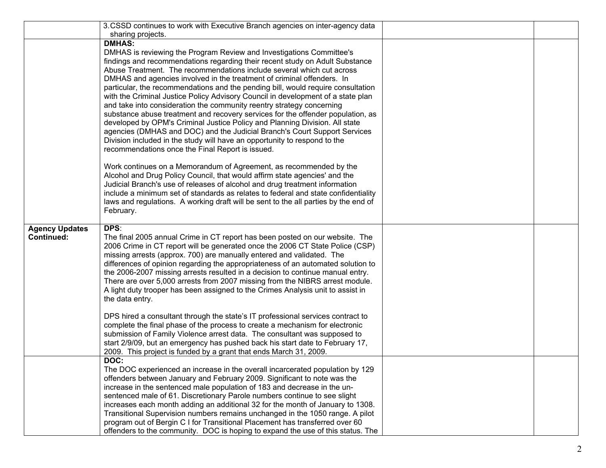|                       | 3. CSSD continues to work with Executive Branch agencies on inter-agency data                                                                                   |  |
|-----------------------|-----------------------------------------------------------------------------------------------------------------------------------------------------------------|--|
|                       | sharing projects.                                                                                                                                               |  |
|                       | <b>DMHAS:</b>                                                                                                                                                   |  |
|                       | DMHAS is reviewing the Program Review and Investigations Committee's                                                                                            |  |
|                       | findings and recommendations regarding their recent study on Adult Substance                                                                                    |  |
|                       | Abuse Treatment. The recommendations include several which cut across                                                                                           |  |
|                       | DMHAS and agencies involved in the treatment of criminal offenders. In<br>particular, the recommendations and the pending bill, would require consultation      |  |
|                       | with the Criminal Justice Policy Advisory Council in development of a state plan                                                                                |  |
|                       | and take into consideration the community reentry strategy concerning                                                                                           |  |
|                       | substance abuse treatment and recovery services for the offender population, as                                                                                 |  |
|                       | developed by OPM's Criminal Justice Policy and Planning Division. All state                                                                                     |  |
|                       | agencies (DMHAS and DOC) and the Judicial Branch's Court Support Services                                                                                       |  |
|                       | Division included in the study will have an opportunity to respond to the                                                                                       |  |
|                       | recommendations once the Final Report is issued.                                                                                                                |  |
|                       | Work continues on a Memorandum of Agreement, as recommended by the                                                                                              |  |
|                       | Alcohol and Drug Policy Council, that would affirm state agencies' and the                                                                                      |  |
|                       | Judicial Branch's use of releases of alcohol and drug treatment information                                                                                     |  |
|                       | include a minimum set of standards as relates to federal and state confidentiality                                                                              |  |
|                       | laws and regulations. A working draft will be sent to the all parties by the end of                                                                             |  |
|                       | February.                                                                                                                                                       |  |
| <b>Agency Updates</b> | DPS:                                                                                                                                                            |  |
| <b>Continued:</b>     | The final 2005 annual Crime in CT report has been posted on our website. The                                                                                    |  |
|                       | 2006 Crime in CT report will be generated once the 2006 CT State Police (CSP)                                                                                   |  |
|                       | missing arrests (approx. 700) are manually entered and validated. The                                                                                           |  |
|                       | differences of opinion regarding the appropriateness of an automated solution to                                                                                |  |
|                       | the 2006-2007 missing arrests resulted in a decision to continue manual entry.<br>There are over 5,000 arrests from 2007 missing from the NIBRS arrest module.  |  |
|                       | A light duty trooper has been assigned to the Crimes Analysis unit to assist in                                                                                 |  |
|                       | the data entry.                                                                                                                                                 |  |
|                       |                                                                                                                                                                 |  |
|                       | DPS hired a consultant through the state's IT professional services contract to<br>complete the final phase of the process to create a mechanism for electronic |  |
|                       | submission of Family Violence arrest data. The consultant was supposed to                                                                                       |  |
|                       | start 2/9/09, but an emergency has pushed back his start date to February 17,                                                                                   |  |
|                       | 2009. This project is funded by a grant that ends March 31, 2009.                                                                                               |  |
|                       | DOC:                                                                                                                                                            |  |
|                       | The DOC experienced an increase in the overall incarcerated population by 129                                                                                   |  |
|                       | offenders between January and February 2009. Significant to note was the                                                                                        |  |
|                       | increase in the sentenced male population of 183 and decrease in the un-                                                                                        |  |
|                       | sentenced male of 61. Discretionary Parole numbers continue to see slight<br>increases each month adding an additional 32 for the month of January to 1308.     |  |
|                       | Transitional Supervision numbers remains unchanged in the 1050 range. A pilot                                                                                   |  |
|                       | program out of Bergin C I for Transitional Placement has transferred over 60                                                                                    |  |
|                       | offenders to the community. DOC is hoping to expand the use of this status. The                                                                                 |  |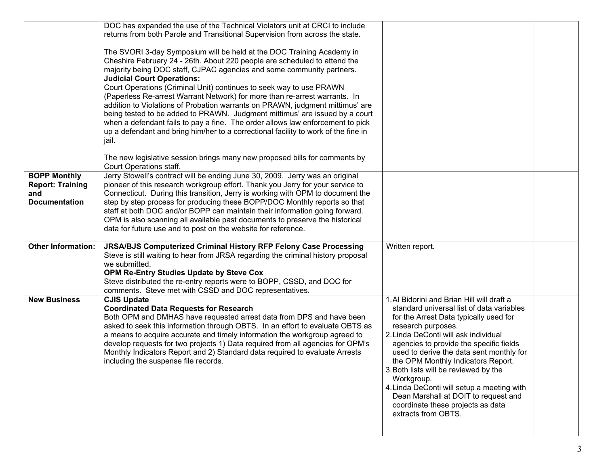|                             | DOC has expanded the use of the Technical Violators unit at CRCI to include        |                                            |  |
|-----------------------------|------------------------------------------------------------------------------------|--------------------------------------------|--|
|                             | returns from both Parole and Transitional Supervision from across the state.       |                                            |  |
|                             |                                                                                    |                                            |  |
|                             | The SVORI 3-day Symposium will be held at the DOC Training Academy in              |                                            |  |
|                             | Cheshire February 24 - 26th. About 220 people are scheduled to attend the          |                                            |  |
|                             | majority being DOC staff, CJPAC agencies and some community partners.              |                                            |  |
|                             | <b>Judicial Court Operations:</b>                                                  |                                            |  |
|                             | Court Operations (Criminal Unit) continues to seek way to use PRAWN                |                                            |  |
|                             | (Paperless Re-arrest Warrant Network) for more than re-arrest warrants. In         |                                            |  |
|                             | addition to Violations of Probation warrants on PRAWN, judgment mittimus' are      |                                            |  |
|                             | being tested to be added to PRAWN. Judgment mittimus' are issued by a court        |                                            |  |
|                             | when a defendant fails to pay a fine. The order allows law enforcement to pick     |                                            |  |
|                             | up a defendant and bring him/her to a correctional facility to work of the fine in |                                            |  |
|                             |                                                                                    |                                            |  |
|                             | jail.                                                                              |                                            |  |
|                             | The new legislative session brings many new proposed bills for comments by         |                                            |  |
|                             | Court Operations staff.                                                            |                                            |  |
| <b>BOPP Monthly</b>         | Jerry Stowell's contract will be ending June 30, 2009. Jerry was an original       |                                            |  |
| <b>Report: Training</b>     | pioneer of this research workgroup effort. Thank you Jerry for your service to     |                                            |  |
|                             | Connecticut. During this transition, Jerry is working with OPM to document the     |                                            |  |
| and<br><b>Documentation</b> |                                                                                    |                                            |  |
|                             | step by step process for producing these BOPP/DOC Monthly reports so that          |                                            |  |
|                             | staff at both DOC and/or BOPP can maintain their information going forward.        |                                            |  |
|                             | OPM is also scanning all available past documents to preserve the historical       |                                            |  |
|                             | data for future use and to post on the website for reference.                      |                                            |  |
| <b>Other Information:</b>   | JRSA/BJS Computerized Criminal History RFP Felony Case Processing                  | Written report.                            |  |
|                             | Steve is still waiting to hear from JRSA regarding the criminal history proposal   |                                            |  |
|                             | we submitted.                                                                      |                                            |  |
|                             |                                                                                    |                                            |  |
|                             | OPM Re-Entry Studies Update by Steve Cox                                           |                                            |  |
|                             | Steve distributed the re-entry reports were to BOPP, CSSD, and DOC for             |                                            |  |
|                             | comments. Steve met with CSSD and DOC representatives.                             |                                            |  |
| <b>New Business</b>         | <b>CJIS Update</b>                                                                 | 1. Al Bidorini and Brian Hill will draft a |  |
|                             | <b>Coordinated Data Requests for Research</b>                                      | standard universal list of data variables  |  |
|                             | Both OPM and DMHAS have requested arrest data from DPS and have been               | for the Arrest Data typically used for     |  |
|                             | asked to seek this information through OBTS. In an effort to evaluate OBTS as      | research purposes.                         |  |
|                             | a means to acquire accurate and timely information the workgroup agreed to         | 2. Linda DeConti will ask individual       |  |
|                             | develop requests for two projects 1) Data required from all agencies for OPM's     | agencies to provide the specific fields    |  |
|                             | Monthly Indicators Report and 2) Standard data required to evaluate Arrests        | used to derive the data sent monthly for   |  |
|                             | including the suspense file records.                                               | the OPM Monthly Indicators Report.         |  |
|                             |                                                                                    | 3. Both lists will be reviewed by the      |  |
|                             |                                                                                    | Workgroup.                                 |  |
|                             |                                                                                    | 4. Linda DeConti will setup a meeting with |  |
|                             |                                                                                    |                                            |  |
|                             |                                                                                    | Dean Marshall at DOIT to request and       |  |
|                             |                                                                                    | coordinate these projects as data          |  |
|                             |                                                                                    | extracts from OBTS.                        |  |
|                             |                                                                                    |                                            |  |